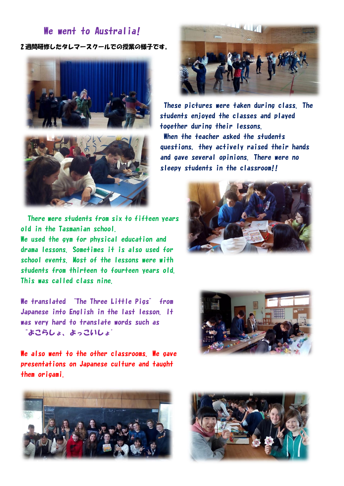## We went to Australia!

2 週間研修したタレマースクールでの授業の様子です。





There were students from six to fifteen years old in the Tasmanian school.

We used the gym for physical education and drama lessons. Sometimes it is also used for school events. Most of the lessons were with students from thirteen to fourteen years old. This was called class nine.

We translated "The Three Little Pigs" from Japanese into English in the last lesson. It was very hard to translate words such as "よこらしょ、よっこいしょ"

We also went to the other classrooms. We gave presentations on Japanese culture and taught them origami.





These pictures were taken during class. The students enjoyed the classes and played together during their lessons. When the teacher asked the students questions, they actively raised their hands and gave several opinions. There were no sleepy students in the classroom!!